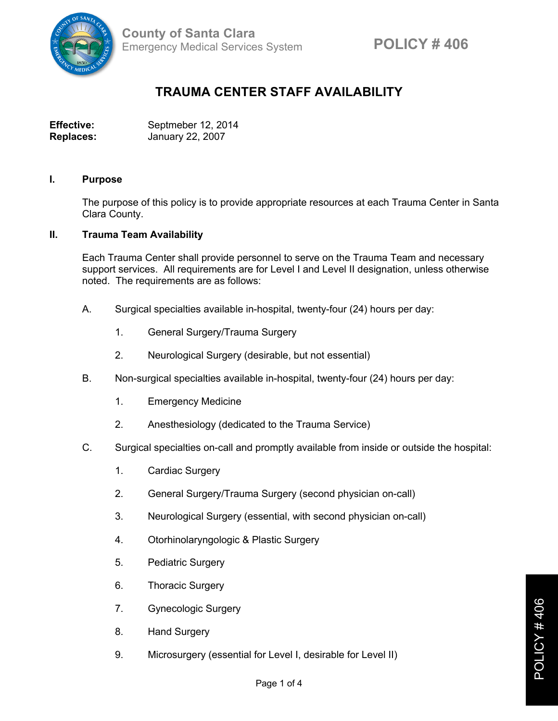

## **TRAUMA CENTER STAFF AVAILABILITY**

| <b>Effective:</b> | Septmeber 12, 2014 |
|-------------------|--------------------|
| <b>Replaces:</b>  | January 22, 2007   |

## **I. Purpose**

The purpose of this policy is to provide appropriate resources at each Trauma Center in Santa Clara County.

## **II. Trauma Team Availability**

Each Trauma Center shall provide personnel to serve on the Trauma Team and necessary support services. All requirements are for Level I and Level II designation, unless otherwise noted. The requirements are as follows:

- A. Surgical specialties available in-hospital, twenty-four (24) hours per day:
	- 1. General Surgery/Trauma Surgery
	- 2. Neurological Surgery (desirable, but not essential)
- B. Non-surgical specialties available in-hospital, twenty-four (24) hours per day:
	- 1. Emergency Medicine
	- 2. Anesthesiology (dedicated to the Trauma Service)
- C. Surgical specialties on-call and promptly available from inside or outside the hospital:
	- 1. Cardiac Surgery
	- 2. General Surgery/Trauma Surgery (second physician on-call)
	- 3. Neurological Surgery (essential, with second physician on-call)
	- 4. Otorhinolaryngologic & Plastic Surgery
	- 5. Pediatric Surgery
	- 6. Thoracic Surgery
	- 7. Gynecologic Surgery
	- 8. Hand Surgery
	- 9. Microsurgery (essential for Level I, desirable for Level II)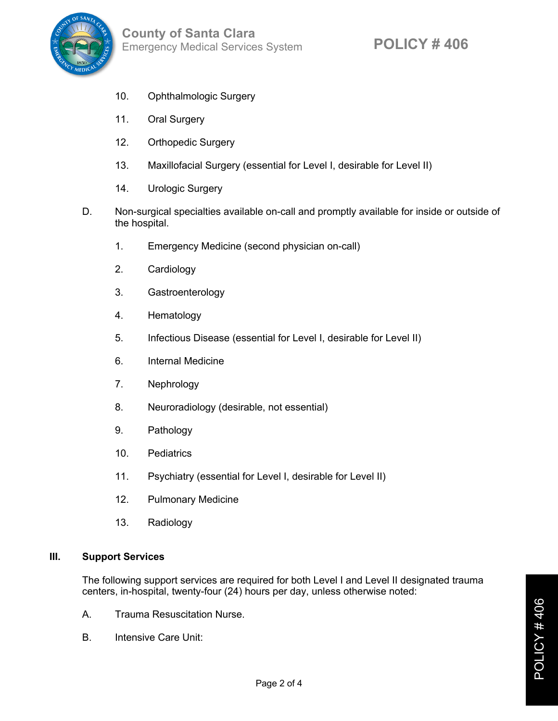

- 10. Ophthalmologic Surgery
- 11. Oral Surgery
- 12. Orthopedic Surgery
- 13. Maxillofacial Surgery (essential for Level I, desirable for Level II)
- 14. Urologic Surgery
- D. Non-surgical specialties available on-call and promptly available for inside or outside of the hospital.
	- 1. Emergency Medicine (second physician on-call)
	- 2. Cardiology
	- 3. Gastroenterology
	- 4. Hematology
	- 5. Infectious Disease (essential for Level I, desirable for Level II)
	- 6. Internal Medicine
	- 7. Nephrology
	- 8. Neuroradiology (desirable, not essential)
	- 9. Pathology
	- 10. Pediatrics
	- 11. Psychiatry (essential for Level I, desirable for Level II)
	- 12. Pulmonary Medicine
	- 13. Radiology

## **III. Support Services**

The following support services are required for both Level I and Level II designated trauma centers, in-hospital, twenty-four (24) hours per day, unless otherwise noted:

- A. Trauma Resuscitation Nurse.
- B. Intensive Care Unit: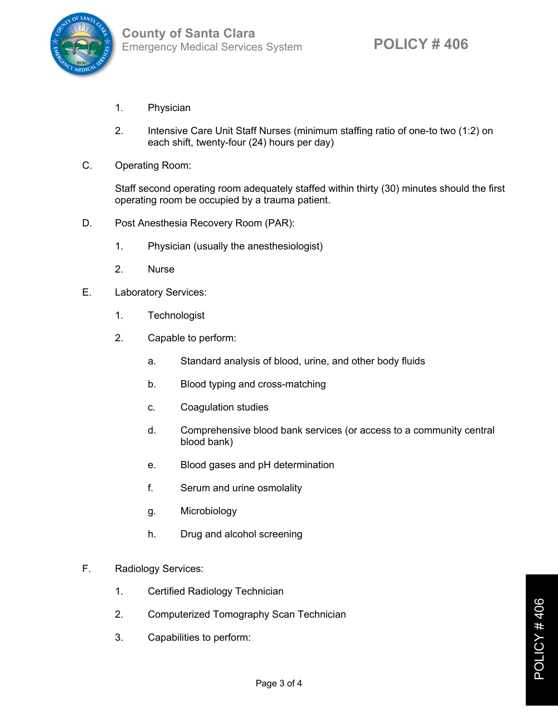

- 1. Physician
- 2. Intensive Care Unit Staff Nurses (minimum staffing ratio of one-to two (1:2) on each shift, twenty-four (24) hours per day)
- C. Operating Room:

Staff second operating room adequately staffed within thirty (30) minutes should the first operating room be occupied by a trauma patient.

- D. Post Anesthesia Recovery Room (PAR):
	- 1. Physician (usually the anesthesiologist)
	- 2. Nurse
- E. Laboratory Services:
	- 1. Technologist
	- 2. Capable to perform:
		- a. Standard analysis of blood, urine, and other body fluids
		- b. Blood typing and cross-matching
		- c. Coagulation studies
		- d. Comprehensive blood bank services (or access to a community central blood bank)
		- e. Blood gases and pH determination
		- f. Serum and urine osmolality
		- g. Microbiology
		- h. Drug and alcohol screening
- F. Radiology Services:
	- 1. Certified Radiology Technician
	- 2. Computerized Tomography Scan Technician
	- 3. Capabilities to perform: